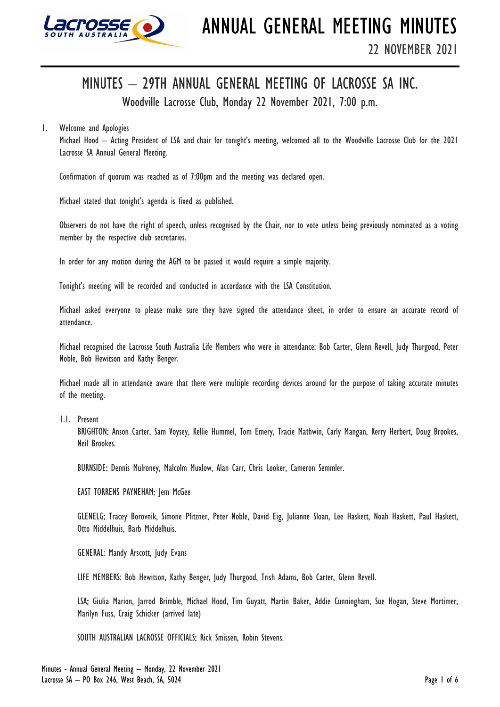

# MINUTES – 29TH ANNUAL GENERAL MEETING OF LACROSSE SA INC.

Woodville Lacrosse Club, Monday 22 November 2021, 7:00 p.m.

# 1. Welcome and Apologies

Michael Hood – Acting President of LSA and chair for tonight's meeting, welcomed all to the Woodville Lacrosse Club for the 2021 Lacrosse SA Annual General Meeting.

Confirmation of quorum was reached as of 7:00pm and the meeting was declared open.

Michael stated that tonight's agenda is fixed as published.

Observers do not have the right of speech, unless recognised by the Chair, nor to vote unless being previously nominated as a voting member by the respective club secretaries.

In order for any motion during the AGM to be passed it would require a simple majority.

Tonight's meeting will be recorded and conducted in accordance with the LSA Constitution.

Michael asked everyone to please make sure they have signed the attendance sheet, in order to ensure an accurate record of attendance.

Michael recognised the Lacrosse South Australia Life Members who were in attendance: Bob Carter, Glenn Revell, Judy Thurgood, Peter Noble, Bob Hewitson and Kathy Benger.

Michael made all in attendance aware that there were multiple recording devices around for the purpose of taking accurate minutes of the meeting.

1.1. Present

BRIGHTON: Anson Carter, Sam Voysey, Kellie Hummel, Tom Emery, Tracie Mathwin, Carly Mangan, Kerry Herbert, Doug Brookes, Neil Brookes.

BURNSIDE: Dennis Mulroney, Malcolm Muxlow, Alan Carr, Chris Looker, Cameron Semmler.

EAST TORRENS PAYNEHAM: Jem McGee

GLENELG: Tracey Borovnik, Simone Pfitzner, Peter Noble, David Eig, Julianne Sloan, Lee Haskett, Noah Haskett, Paul Haskett, Otto Middelhuis, Barb Middelhuis.

GENERAL: Mandy Arscott, Judy Evans

LIFE MEMBERS: Bob Hewitson, Kathy Benger, Judy Thurgood, Trish Adams, Bob Carter, Glenn Revell.

LSA: Giulia Marion, Jarrod Brimble, Michael Hood, Tim Guyatt, Martin Baker, Addie Cunningham, Sue Hogan, Steve Mortimer, Marilyn Fuss, Craig Schicker (arrived late)

SOUTH AUSTRALIAN LACROSSE OFFICIALS: Rick Smissen, Robin Stevens.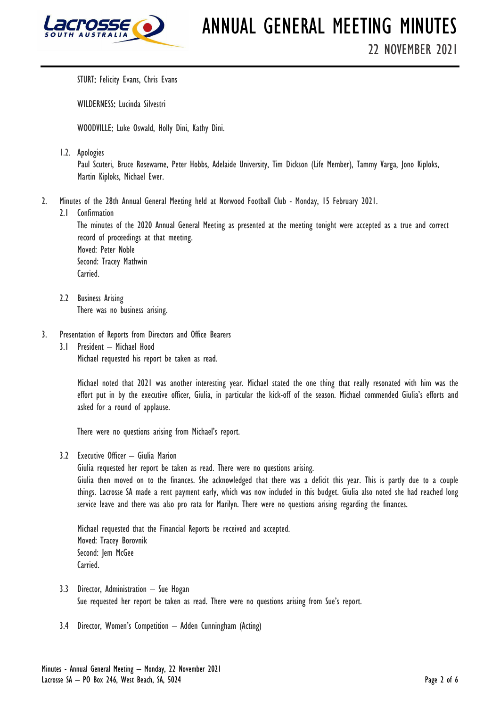

STURT: Felicity Evans, Chris Evans

WILDERNESS: Lucinda Silvestri

WOODVILLE: Luke Oswald, Holly Dini, Kathy Dini.

1.2. Apologies

Paul Scuteri, Bruce Rosewarne, Peter Hobbs, Adelaide University, Tim Dickson (Life Member), Tammy Varga, Jono Kiploks, Martin Kiploks, Michael Ewer.

- 2. Minutes of the 28th Annual General Meeting held at Norwood Football Club Monday, 15 February 2021.
	- 2.1 Confirmation

The minutes of the 2020 Annual General Meeting as presented at the meeting tonight were accepted as a true and correct record of proceedings at that meeting. Moved: Peter Noble Second: Tracey Mathwin Carried.

- 2.2 Business Arising There was no business arising.
- 3. Presentation of Reports from Directors and Office Bearers
	- 3.1 President Michael Hood Michael requested his report be taken as read.

Michael noted that 2021 was another interesting year. Michael stated the one thing that really resonated with him was the effort put in by the executive officer, Giulia, in particular the kick-off of the season. Michael commended Giulia's efforts and asked for a round of applause.

There were no questions arising from Michael's report.

3.2 Executive Officer – Giulia Marion

Giulia requested her report be taken as read. There were no questions arising. Giulia then moved on to the finances. She acknowledged that there was a deficit this year. This is partly due to a couple things. Lacrosse SA made a rent payment early, which was now included in this budget. Giulia also noted she had reached long service leave and there was also pro rata for Marilyn. There were no questions arising regarding the finances.

Michael requested that the Financial Reports be received and accepted. Moved: Tracey Borovnik Second: Jem McGee Carried.

- 3.3 Director, Administration Sue Hogan Sue requested her report be taken as read. There were no questions arising from Sue's report.
- 3.4 Director, Women's Competition Adden Cunningham (Acting)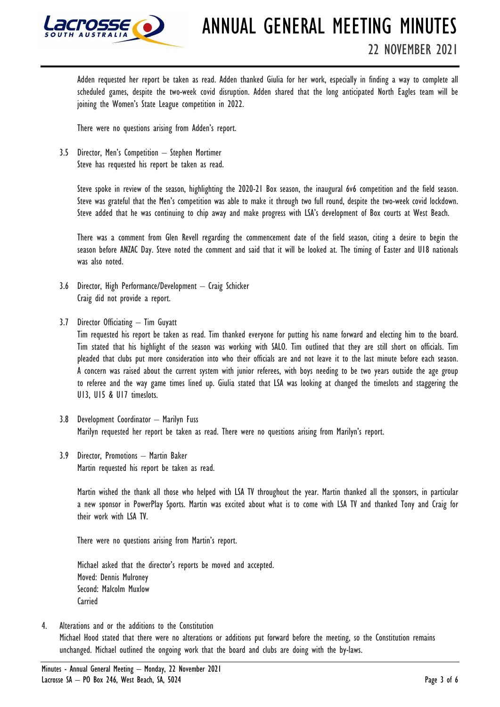

Adden requested her report be taken as read. Adden thanked Giulia for her work, especially in finding a way to complete all scheduled games, despite the two-week covid disruption. Adden shared that the long anticipated North Eagles team will be joining the Women's State League competition in 2022.

There were no questions arising from Adden's report.

3.5 Director, Men's Competition – Stephen Mortimer Steve has requested his report be taken as read.

> Steve spoke in review of the season, highlighting the 2020-21 Box season, the inaugural 6v6 competition and the field season. Steve was grateful that the Men's competition was able to make it through two full round, despite the two-week covid lockdown. Steve added that he was continuing to chip away and make progress with LSA's development of Box courts at West Beach.

> There was a comment from Glen Revell regarding the commencement date of the field season, citing a desire to begin the season before ANZAC Day. Steve noted the comment and said that it will be looked at. The timing of Easter and U18 nationals was also noted.

- 3.6 Director, High Performance/Development Craig Schicker Craig did not provide a report.
- 3.7 Director Officiating Tim Guyatt

Tim requested his report be taken as read. Tim thanked everyone for putting his name forward and electing him to the board. Tim stated that his highlight of the season was working with SALO. Tim outlined that they are still short on officials. Tim pleaded that clubs put more consideration into who their officials are and not leave it to the last minute before each season. A concern was raised about the current system with junior referees, with boys needing to be two years outside the age group to referee and the way game times lined up. Giulia stated that LSA was looking at changed the timeslots and staggering the U13, U15 & U17 timeslots.

- 3.8 Development Coordinator Marilyn Fuss Marilyn requested her report be taken as read. There were no questions arising from Marilyn's report.
- 3.9 Director, Promotions Martin Baker Martin requested his report be taken as read.

Martin wished the thank all those who helped with LSA TV throughout the year. Martin thanked all the sponsors, in particular a new sponsor in PowerPlay Sports. Martin was excited about what is to come with LSA TV and thanked Tony and Craig for their work with LSA TV.

There were no questions arising from Martin's report.

Michael asked that the director's reports be moved and accepted. Moved: Dennis Mulroney Second: Malcolm Muxlow Carried

4. Alterations and or the additions to the Constitution Michael Hood stated that there were no alterations or additions put forward before the meeting, so the Constitution remains unchanged. Michael outlined the ongoing work that the board and clubs are doing with the by-laws.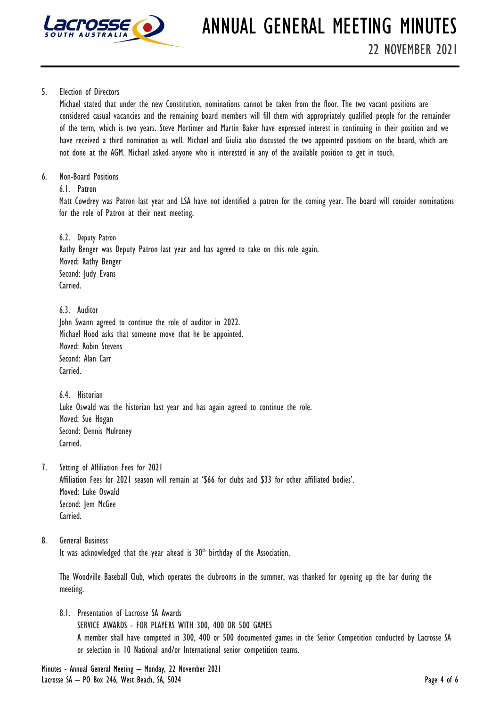

## 5. Election of Directors

Michael stated that under the new Constitution, nominations cannot be taken from the floor. The two vacant positions are considered casual vacancies and the remaining board members will fill them with appropriately qualified people for the remainder of the term, which is two years. Steve Mortimer and Martin Baker have expressed interest in continuing in their position and we have received a third nomination as well. Michael and Giulia also discussed the two appointed positions on the board, which are not done at the AGM. Michael asked anyone who is interested in any of the available position to get in touch.

6. Non-Board Positions

6.1. Patron

Matt Cowdrey was Patron last year and LSA have not identified a patron for the coming year. The board will consider nominations for the role of Patron at their next meeting.

6.2. Deputy Patron Kathy Benger was Deputy Patron last year and has agreed to take on this role again. Moved: Kathy Benger Second: Judy Evans Carried.

6.3. Auditor John Swann agreed to continue the role of auditor in 2022. Michael Hood asks that someone move that he be appointed. Moved: Robin Stevens Second: Alan Carr Carried.

6.4. Historian Luke Oswald was the historian last year and has again agreed to continue the role. Moved: Sue Hogan Second: Dennis Mulroney Carried.

7. Setting of Affiliation Fees for 2021

Affiliation Fees for 2021 season will remain at '\$66 for clubs and \$33 for other affiliated bodies'. Moved: Luke Oswald Second: Jem McGee Carried.

8. General Business

It was acknowledged that the year ahead is 30<sup>th</sup> birthday of the Association.

The Woodville Baseball Club, which operates the clubrooms in the summer, was thanked for opening up the bar during the meeting.

8.1. Presentation of Lacrosse SA Awards

SERVICE AWARDS - FOR PLAYERS WITH 300, 400 OR 500 GAMES A member shall have competed in 300, 400 or 500 documented games in the Senior Competition conducted by Lacrosse SA or selection in 10 National and/or International senior competition teams.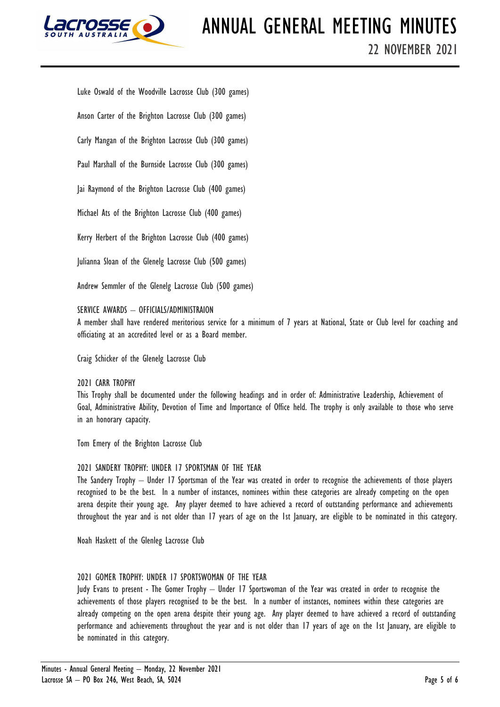

Luke Oswald of the Woodville Lacrosse Club (300 games)

Anson Carter of the Brighton Lacrosse Club (300 games)

Carly Mangan of the Brighton Lacrosse Club (300 games)

Paul Marshall of the Burnside Lacrosse Club (300 games)

Jai Raymond of the Brighton Lacrosse Club (400 games)

Michael Ats of the Brighton Lacrosse Club (400 games)

Kerry Herbert of the Brighton Lacrosse Club (400 games)

Julianna Sloan of the Glenelg Lacrosse Club (500 games)

Andrew Semmler of the Glenelg Lacrosse Club (500 games)

# SERVICE AWARDS – OFFICIALS/ADMINISTRAION

A member shall have rendered meritorious service for a minimum of 7 years at National, State or Club level for coaching and officiating at an accredited level or as a Board member.

Craig Schicker of the Glenelg Lacrosse Club

2021 CARR TROPHY

This Trophy shall be documented under the following headings and in order of: Administrative Leadership, Achievement of Goal, Administrative Ability, Devotion of Time and Importance of Office held. The trophy is only available to those who serve in an honorary capacity.

Tom Emery of the Brighton Lacrosse Club

## 2021 SANDERY TROPHY: UNDER 17 SPORTSMAN OF THE YEAR

The Sandery Trophy – Under 17 Sportsman of the Year was created in order to recognise the achievements of those players recognised to be the best. In a number of instances, nominees within these categories are already competing on the open arena despite their young age. Any player deemed to have achieved a record of outstanding performance and achievements throughout the year and is not older than 17 years of age on the 1st January, are eligible to be nominated in this category.

Noah Haskett of the Glenleg Lacrosse Club

# 2021 GOMER TROPHY: UNDER 17 SPORTSWOMAN OF THE YEAR

Judy Evans to present - The Gomer Trophy – Under 17 Sportswoman of the Year was created in order to recognise the achievements of those players recognised to be the best. In a number of instances, nominees within these categories are already competing on the open arena despite their young age. Any player deemed to have achieved a record of outstanding performance and achievements throughout the year and is not older than 17 years of age on the 1st January, are eligible to be nominated in this category.